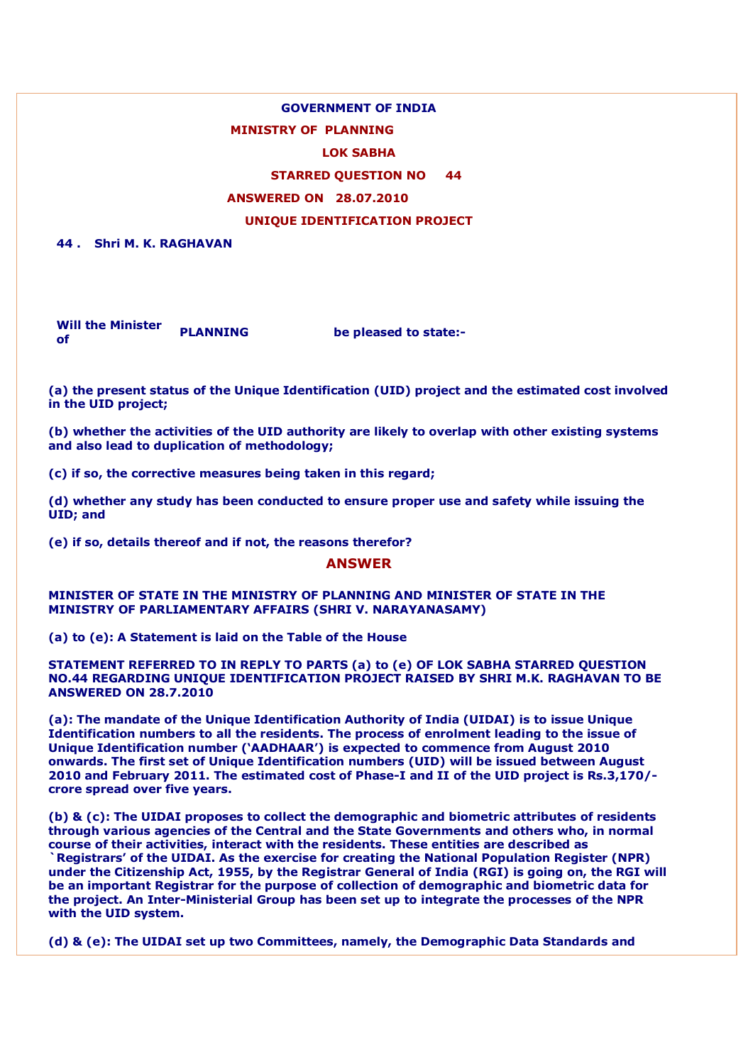### **GOVERNMENT OF INDIA**

### **MINISTRY OF PLANNING**

### **LOK SABHA**

# **STARRED QUESTION NO 44**

### **ANSWERED ON 28.07.2010**

# **UNIQUE IDENTIFICATION PROJECT**

**44 . Shri M. K. RAGHAVAN**

**Will the Minister of PLANNING be pleased to state:-**

**(a) the present status of the Unique Identification (UID) project and the estimated cost involved in the UID project;**

**(b) whether the activities of the UID authority are likely to overlap with other existing systems and also lead to duplication of methodology;**

**(c) if so, the corrective measures being taken in this regard;**

**(d) whether any study has been conducted to ensure proper use and safety while issuing the UID; and**

**(e) if so, details thereof and if not, the reasons therefor?**

#### **ANSWER**

**MINISTER OF STATE IN THE MINISTRY OF PLANNING AND MINISTER OF STATE IN THE MINISTRY OF PARLIAMENTARY AFFAIRS (SHRI V. NARAYANASAMY)**

**(a) to (e): A Statement is laid on the Table of the House**

**STATEMENT REFERRED TO IN REPLY TO PARTS (a) to (e) OF LOK SABHA STARRED QUESTION NO.44 REGARDING UNIQUE IDENTIFICATION PROJECT RAISED BY SHRI M.K. RAGHAVAN TO BE ANSWERED ON 28.7.2010**

**(a): The mandate of the Unique Identification Authority of India (UIDAI) is to issue Unique Identification numbers to all the residents. The process of enrolment leading to the issue of Unique Identification number ('AADHAAR') is expected to commence from August 2010 onwards. The first set of Unique Identification numbers (UID) will be issued between August 2010 and February 2011. The estimated cost of Phase-I and II of the UID project is Rs.3,170/ crore spread over five years.**

**(b) & (c): The UIDAI proposes to collect the demographic and biometric attributes of residents through various agencies of the Central and the State Governments and others who, in normal course of their activities, interact with the residents. These entities are described as `Registrars' of the UIDAI. As the exercise for creating the National Population Register (NPR) under the Citizenship Act, 1955, by the Registrar General of India (RGI) is going on, the RGI will be an important Registrar for the purpose of collection of demographic and biometric data for the project. An Inter-Ministerial Group has been set up to integrate the processes of the NPR with the UID system.**

**(d) & (e): The UIDAI set up two Committees, namely, the Demographic Data Standards and**